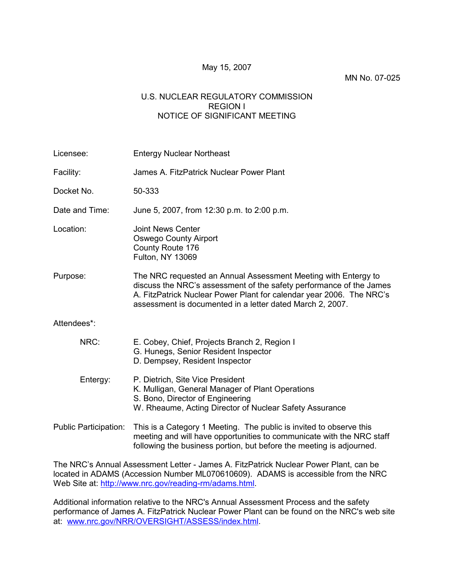### May 15, 2007

#### MN No. 07-025

### U.S. NUCLEAR REGULATORY COMMISSION REGION I NOTICE OF SIGNIFICANT MEETING

Licensee: Entergy Nuclear Northeast Facility: James A. FitzPatrick Nuclear Power Plant Docket No. 50-333 Date and Time: June 5, 2007, from 12:30 p.m. to 2:00 p.m. Location: Joint News Center Oswego County Airport County Route 176 Fulton, NY 13069 Purpose: The NRC requested an Annual Assessment Meeting with Entergy to discuss the NRC's assessment of the safety performance of the James A. FitzPatrick Nuclear Power Plant for calendar year 2006. The NRC's assessment is documented in a letter dated March 2, 2007. Attendees\*: NRC: E. Cobey, Chief, Projects Branch 2, Region I G. Hunegs, Senior Resident Inspector D. Dempsey, Resident Inspector Entergy: P. Dietrich, Site Vice President K. Mulligan, General Manager of Plant Operations S. Bono, Director of Engineering W. Rheaume, Acting Director of Nuclear Safety Assurance Public Participation: This is a Category 1 Meeting. The public is invited to observe this meeting and will have opportunities to communicate with the NRC staff following the business portion, but before the meeting is adjourned.

The NRC's Annual Assessment Letter - James A. FitzPatrick Nuclear Power Plant, can be located in ADAMS (Accession Number ML070610609). ADAMS is accessible from the NRC Web Site at: http://www.nrc.gov/reading-rm/adams.html.

Additional information relative to the NRC's Annual Assessment Process and the safety performance of James A. FitzPatrick Nuclear Power Plant can be found on the NRC's web site at: www.nrc.gov/NRR/OVERSIGHT/ASSESS/index.html.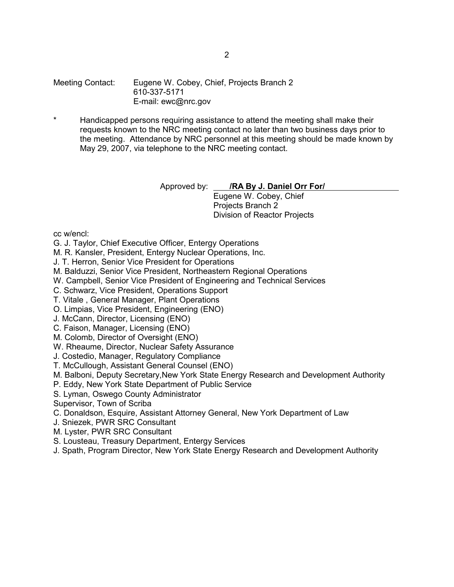Meeting Contact: Eugene W. Cobey, Chief, Projects Branch 2 610-337-5171 E-mail: ewc@nrc.gov

Handicapped persons requiring assistance to attend the meeting shall make their requests known to the NRC meeting contact no later than two business days prior to the meeting. Attendance by NRC personnel at this meeting should be made known by May 29, 2007, via telephone to the NRC meeting contact.

Approved by: **/RA By J. Daniel Orr For/** 

Eugene W. Cobey, Chief Projects Branch 2 Division of Reactor Projects

cc w/encl:

- G. J. Taylor, Chief Executive Officer, Entergy Operations
- M. R. Kansler, President, Entergy Nuclear Operations, Inc.
- J. T. Herron, Senior Vice President for Operations
- M. Balduzzi, Senior Vice President, Northeastern Regional Operations
- W. Campbell, Senior Vice President of Engineering and Technical Services
- C. Schwarz, Vice President, Operations Support
- T. Vitale , General Manager, Plant Operations
- O. Limpias, Vice President, Engineering (ENO)
- J. McCann, Director, Licensing (ENO)
- C. Faison, Manager, Licensing (ENO)
- M. Colomb, Director of Oversight (ENO)
- W. Rheaume, Director, Nuclear Safety Assurance
- J. Costedio, Manager, Regulatory Compliance
- T. McCullough, Assistant General Counsel (ENO)
- M. Balboni, Deputy Secretary,New York State Energy Research and Development Authority
- P. Eddy, New York State Department of Public Service
- S. Lyman, Oswego County Administrator
- Supervisor, Town of Scriba
- C. Donaldson, Esquire, Assistant Attorney General, New York Department of Law
- J. Sniezek, PWR SRC Consultant
- M. Lyster, PWR SRC Consultant
- S. Lousteau, Treasury Department, Entergy Services
- J. Spath, Program Director, New York State Energy Research and Development Authority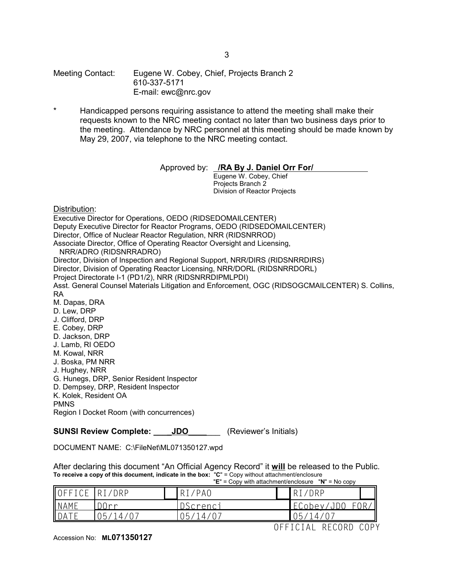Meeting Contact: Eugene W. Cobey, Chief, Projects Branch 2 610-337-5171 E-mail: ewc@nrc.gov

Handicapped persons requiring assistance to attend the meeting shall make their requests known to the NRC meeting contact no later than two business days prior to the meeting. Attendance by NRC personnel at this meeting should be made known by May 29, 2007, via telephone to the NRC meeting contact.

Approved by: **/RA By J. Daniel Orr For/** 

Eugene W. Cobey, Chief Projects Branch 2 Division of Reactor Projects

Distribution:

Executive Director for Operations, OEDO (RIDSEDOMAILCENTER) Deputy Executive Director for Reactor Programs, OEDO (RIDSEDOMAILCENTER) Director, Office of Nuclear Reactor Regulation, NRR (RIDSNRROD) Associate Director, Office of Operating Reactor Oversight and Licensing, NRR/ADRO (RIDSNRRADRO) Director, Division of Inspection and Regional Support, NRR/DIRS (RIDSNRRDIRS) Director, Division of Operating Reactor Licensing, NRR/DORL (RIDSNRRDORL) Project Directorate I-1 (PD1/2), NRR (RIDSNRRDIPMLPDI) Asst. General Counsel Materials Litigation and Enforcement, OGC (RIDSOGCMAILCENTER) S. Collins, RA M. Dapas, DRA D. Lew, DRP J. Clifford, DRP E. Cobey, DRP D. Jackson, DRP J. Lamb, RI OEDO M. Kowal, NRR J. Boska, PM NRR J. Hughey, NRR G. Hunegs, DRP, Senior Resident Inspector D. Dempsey, DRP, Resident Inspector K. Kolek, Resident OA PMNS Region I Docket Room (with concurrences)

**SUNSI Review Complete: \_\_\_\_JDO\_\_\_\_\_\_** (Reviewer's Initials)

DOCUMENT NAME: C:\FileNet\ML071350127.wpd

After declaring this document "An Official Agency Record" it **will** be released to the Public. **To receive a copy of this document, indicate in the box:** "**C**" = Copy without attachment/enclosure "**E**" = Copy with attachment/enclosure "**N**" = No copy

|               | $\mathsf{L}$ - CODY WILL attachment choices to $\mathsf{C}$ is $\mathsf{C}$ - NO CODY |  |          |   |                      |                   |
|---------------|---------------------------------------------------------------------------------------|--|----------|---|----------------------|-------------------|
| OFFICE RI/DRP |                                                                                       |  | RI/PAO   |   | R <sub>I</sub> /DRP  |                   |
| <b>NAME</b>   | $\bigcap$                                                                             |  | DScrenci |   | FCnhev/              |                   |
|               | 14/<br>) ካ                                                                            |  | (一) 5 」  |   | ს 5<br>$^{\prime}$ 4 |                   |
|               |                                                                                       |  |          | ⊢ | RECORD<br>ICIAL      | ∩DV<br><u>UUT</u> |

Accession No: **ML071350127**